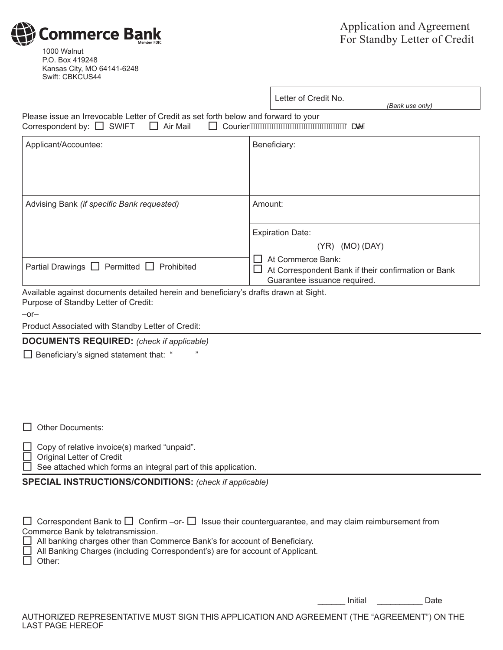1000 Walnut P.O. Box 419248 Kansas City, MO 64141-6248 Swift: CBKCUS44

**Commerce Bank** 

|                                                                                                                                          | Letter of Credit No.<br>(Bank use only)                                                                  |
|------------------------------------------------------------------------------------------------------------------------------------------|----------------------------------------------------------------------------------------------------------|
| Please issue an Irrevocable Letter of Credit as set forth below and forward to your<br>$\Box$ Air Mail<br>Correspondent by: $\Box$ SWIFT | Courier AWAWAWAWAWAWAWAWAWAWAWAWAWA                                                                      |
| Applicant/Accountee:                                                                                                                     | Beneficiary:                                                                                             |
| Advising Bank (if specific Bank requested)                                                                                               | Amount:                                                                                                  |
|                                                                                                                                          | <b>Expiration Date:</b>                                                                                  |
|                                                                                                                                          | $(YR)$ (MO) (DAY)                                                                                        |
| Partial Drawings $\Box$ Permitted $\Box$ Prohibited                                                                                      | At Commerce Bank:<br>At Correspondent Bank if their confirmation or Bank<br>Guarantee issuance required. |
| Available against documents detailed herein and beneficiary's drafts drawn at Sight.<br>Purpose of Standby Letter of Credit:             |                                                                                                          |
| $-0r-$                                                                                                                                   |                                                                                                          |
| Product Associated with Standby Letter of Credit:                                                                                        |                                                                                                          |
| <b>DOCUMENTS REQUIRED:</b> (check if applicable)                                                                                         |                                                                                                          |
| $\Box$ Beneficiary's signed statement that: "                                                                                            |                                                                                                          |

Г

 $\Box$  Other Documents:

 $\Box$  Copy of relative invoice(s) marked "unpaid".

Original Letter of Credit

 $\Box$  See attached which forms an integral part of this application.

**SPECIAL INSTRUCTIONS/CONDITIONS:** *(check if applicable)*

| $\Box$ Correspondent Bank to $\Box$ Confirm – or- $\Box$ Issue their counterguarantee, and may claim reimbursement from<br>Commerce Bank by teletransmission.                         |
|---------------------------------------------------------------------------------------------------------------------------------------------------------------------------------------|
| $\Box$ All banking charges other than Commerce Bank's for account of Beneficiary.<br>□ All Banking Charges (including Correspondent's) are for account of Applicant.<br>$\Box$ Other: |
|                                                                                                                                                                                       |

\_\_\_\_\_\_ Initial \_\_\_\_\_\_\_\_\_\_ Date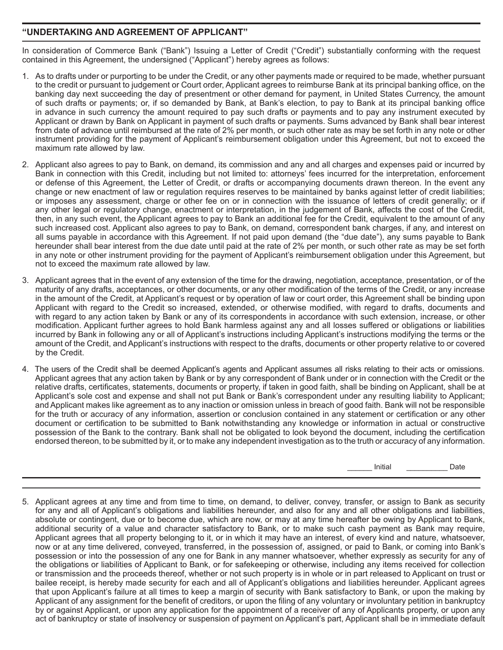## **"UNDERTAKING AND AGREEMENT OF APPLICANT"**

In consideration of Commerce Bank ("Bank") Issuing a Letter of Credit ("Credit") substantially conforming with the request contained in this Agreement, the undersigned ("Applicant") hereby agrees as follows:

- 1. As to drafts under or purporting to be under the Credit, or any other payments made or required to be made, whether pursuant to the credit or pursuant to judgement or Court order, Applicant agrees to reimburse Bank at its principal banking office, on the banking day next succeeding the day of presentment or other demand for payment, in United States Currency, the amount of such drafts or payments; or, if so demanded by Bank, at Bank's election, to pay to Bank at its principal banking office in advance in such currency the amount required to pay such drafts or payments and to pay any instrument executed by Applicant or drawn by Bank on Applicant in payment of such drafts or payments. Sums advanced by Bank shall bear interest from date of advance until reimbursed at the rate of 2% per month, or such other rate as may be set forth in any note or other instrument providing for the payment of Applicant's reimbursement obligation under this Agreement, but not to exceed the maximum rate allowed by law.
- 2. Applicant also agrees to pay to Bank, on demand, its commission and any and all charges and expenses paid or incurred by Bank in connection with this Credit, including but not limited to: attorneys' fees incurred for the interpretation, enforcement or defense of this Agreement, the Letter of Credit, or drafts or accompanying documents drawn thereon. In the event any change or new enactment of law or regulation requires reserves to be maintained by banks against letter of credit liabilities; or imposes any assessment, charge or other fee on or in connection with the issuance of letters of credit generally; or if any other legal or regulatory change, enactment or interpretation, in the judgement of Bank, affects the cost of the Credit, then, in any such event, the Applicant agrees to pay to Bank an additional fee for the Credit, equivalent to the amount of any such increased cost. Applicant also agrees to pay to Bank, on demand, correspondent bank charges, if any, and interest on all sums payable in accordance with this Agreement. If not paid upon demand (the "due date"), any sums payable to Bank hereunder shall bear interest from the due date until paid at the rate of 2% per month, or such other rate as may be set forth in any note or other instrument providing for the payment of Applicant's reimbursement obligation under this Agreement, but not to exceed the maximum rate allowed by law.
- 3. Applicant agrees that in the event of any extension of the time for the drawing, negotiation, acceptance, presentation, or of the maturity of any drafts, acceptances, or other documents, or any other modification of the terms of the Credit, or any increase in the amount of the Credit, at Applicant's request or by operation of law or court order, this Agreement shall be binding upon Applicant with regard to the Credit so increased, extended, or otherwise modified, with regard to drafts, documents and with regard to any action taken by Bank or any of its correspondents in accordance with such extension, increase, or other modification. Applicant further agrees to hold Bank harmless against any and all losses suffered or obligations or liabilities incurred by Bank in following any or all of Applicant's instructions including Applicant's instructions modifying the terms or the amount of the Credit, and Applicant's instructions with respect to the drafts, documents or other property relative to or covered by the Credit.
- 4. The users of the Credit shall be deemed Applicant's agents and Applicant assumes all risks relating to their acts or omissions. Applicant agrees that any action taken by Bank or by any correspondent of Bank under or in connection with the Credit or the relative drafts, certificates, statements, documents or property, if taken in good faith, shall be binding on Applicant, shall be at Applicant's sole cost and expense and shall not put Bank or Bank's correspondent under any resulting liability to Applicant; and Applicant makes like agreement as to any inaction or omission unless in breach of good faith. Bank will not be responsible for the truth or accuracy of any information, assertion or conclusion contained in any statement or certification or any other document or certification to be submitted to Bank notwithstanding any knowledge or information in actual or constructive possession of the Bank to the contrary. Bank shall not be obligated to look beyond the document, including the certification endorsed thereon, to be submitted by it, or to make any independent investigation as to the truth or accuracy of any information.

\_\_\_\_\_\_\_\_\_ Initial \_\_\_\_\_\_\_\_\_\_\_\_\_\_\_ Date

5. Applicant agrees at any time and from time to time, on demand, to deliver, convey, transfer, or assign to Bank as security for any and all of Applicant's obligations and liabilities hereunder, and also for any and all other obligations and liabilities, absolute or contingent, due or to become due, which are now, or may at any time hereafter be owing by Applicant to Bank, additional security of a value and character satisfactory to Bank, or to make such cash payment as Bank may require, Applicant agrees that all property belonging to it, or in which it may have an interest, of every kind and nature, whatsoever, now or at any time delivered, conveyed, transferred, in the possession of, assigned, or paid to Bank, or coming into Bank's possession or into the possession of any one for Bank in any manner whatsoever, whether expressly as security for any of the obligations or liabilities of Applicant to Bank, or for safekeeping or otherwise, including any items received for collection or transmission and the proceeds thereof, whether or not such property is in whole or in part released to Applicant on trust or bailee receipt, is hereby made security for each and all of Applicant's obligations and liabilities hereunder. Applicant agrees that upon Applicant's failure at all times to keep a margin of security with Bank satisfactory to Bank, or upon the making by Applicant of any assignment for the benefit of creditors, or upon the filing of any voluntary or involuntary petition in bankruptcy by or against Applicant, or upon any application for the appointment of a receiver of any of Applicants property, or upon any act of bankruptcy or state of insolvency or suspension of payment on Applicant's part, Applicant shall be in immediate default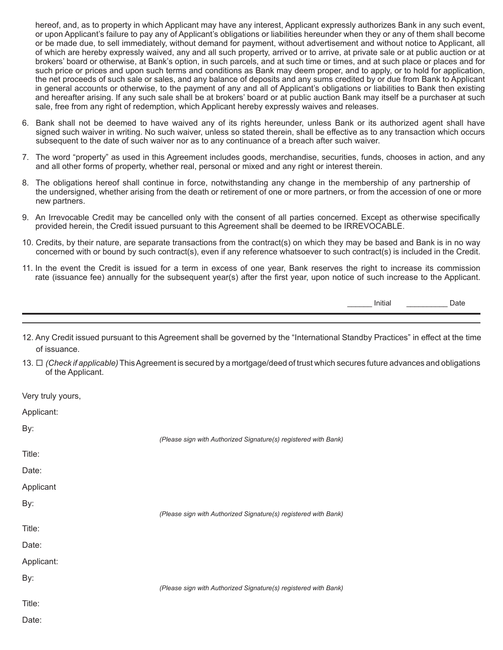hereof, and, as to property in which Applicant may have any interest, Applicant expressly authorizes Bank in any such event, or upon Applicant's failure to pay any of Applicant's obligations or liabilities hereunder when they or any of them shall become or be made due, to sell immediately, without demand for payment, without advertisement and without notice to Applicant, all of which are hereby expressly waived, any and all such property, arrived or to arrive, at private sale or at public auction or at brokers' board or otherwise, at Bank's option, in such parcels, and at such time or times, and at such place or places and for such price or prices and upon such terms and conditions as Bank may deem proper, and to apply, or to hold for application, the net proceeds of such sale or sales, and any balance of deposits and any sums credited by or due from Bank to Applicant in general accounts or otherwise, to the payment of any and all of Applicant's obligations or liabilities to Bank then existing and hereafter arising. If any such sale shall be at brokers' board or at public auction Bank may itself be a purchaser at such sale, free from any right of redemption, which Applicant hereby expressly waives and releases.

- 6. Bank shall not be deemed to have waived any of its rights hereunder, unless Bank or its authorized agent shall have signed such waiver in writing. No such waiver, unless so stated therein, shall be effective as to any transaction which occurs subsequent to the date of such waiver nor as to any continuance of a breach after such waiver.
- 7. The word "property" as used in this Agreement includes goods, merchandise, securities, funds, chooses in action, and any and all other forms of property, whether real, personal or mixed and any right or interest therein.
- 8. The obligations hereof shall continue in force, notwithstanding any change in the membership of any partnership of the undersigned, whether arising from the death or retirement of one or more partners, or from the accession of one or more new partners.
- 9. An Irrevocable Credit may be cancelled only with the consent of all parties concerned. Except as otherwise specifically provided herein, the Credit issued pursuant to this Agreement shall be deemed to be IRREVOCABLE.
- 10. Credits, by their nature, are separate transactions from the contract(s) on which they may be based and Bank is in no way concerned with or bound by such contract(s), even if any reference whatsoever to such contract(s) is included in the Credit.
- 11. In the event the Credit is issued for a term in excess of one year, Bank reserves the right to increase its commission rate (issuance fee) annually for the subsequent year(s) after the first year, upon notice of such increase to the Applicant.

\_\_\_\_\_\_ Initial \_\_\_\_\_\_\_\_\_\_ Date

- 12. Any Credit issued pursuant to this Agreement shall be governed by the "International Standby Practices" in effect at the time of issuance.
- 13.  $\Box$  (Check if applicable) This Agreement is secured by a mortgage/deed of trust which secures future advances and obligations of the Applicant.

Very truly yours,

| Applicant: |                                                                 |
|------------|-----------------------------------------------------------------|
| By:        | (Please sign with Authorized Signature(s) registered with Bank) |
| Title:     |                                                                 |
| Date:      |                                                                 |
| Applicant  |                                                                 |
| By:        | (Please sign with Authorized Signature(s) registered with Bank) |
| Title:     |                                                                 |
| Date:      |                                                                 |
| Applicant: |                                                                 |
| By:        | (Please sign with Authorized Signature(s) registered with Bank) |
| Title:     |                                                                 |
| Date:      |                                                                 |
|            |                                                                 |